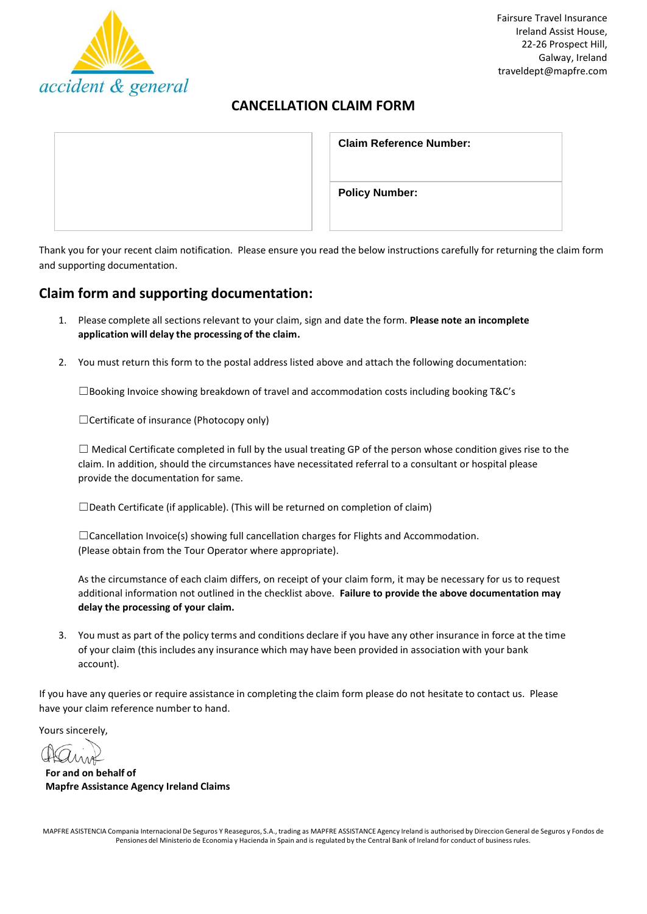

## **CANCELLATION CLAIM FORM**

| <b>Claim Reference Number:</b> |
|--------------------------------|
| <b>Policy Number:</b>          |

Thank you for your recent claim notification. Please ensure you read the below instructions carefully for returning the claim form and supporting documentation.

## **Claim form and supporting documentation:**

- 1. Please complete all sectionsrelevant to your claim, sign and date the form. **Please note an incomplete application will delay the processing of the claim.**
- 2. You must return this form to the postal address listed above and attach the following documentation:

 $\square$ Booking Invoice showing breakdown of travel and accommodation costs including booking T&C's

☐Certificate of insurance (Photocopy only)

 $\Box$  Medical Certificate completed in full by the usual treating GP of the person whose condition gives rise to the claim. In addition, should the circumstances have necessitated referral to a consultant or hospital please provide the documentation for same.

☐Death Certificate (if applicable). (This will be returned on completion of claim)

 $\Box$ Cancellation Invoice(s) showing full cancellation charges for Flights and Accommodation. (Please obtain from the Tour Operator where appropriate).

As the circumstance of each claim differs, on receipt of your claim form, it may be necessary for us to request additional information not outlined in the checklist above. **Failure to provide the above documentation may delay the processing of your claim.**

3. You must as part of the policy terms and conditions declare if you have any other insurance in force at the time of your claim (this includes any insurance which may have been provided in association with your bank account).

If you have any queries or require assistance in completing the claim form please do not hesitate to contact us. Please have your claim reference number to hand.

Yours sincerely,

**For and on behalf of Mapfre Assistance Agency Ireland Claims**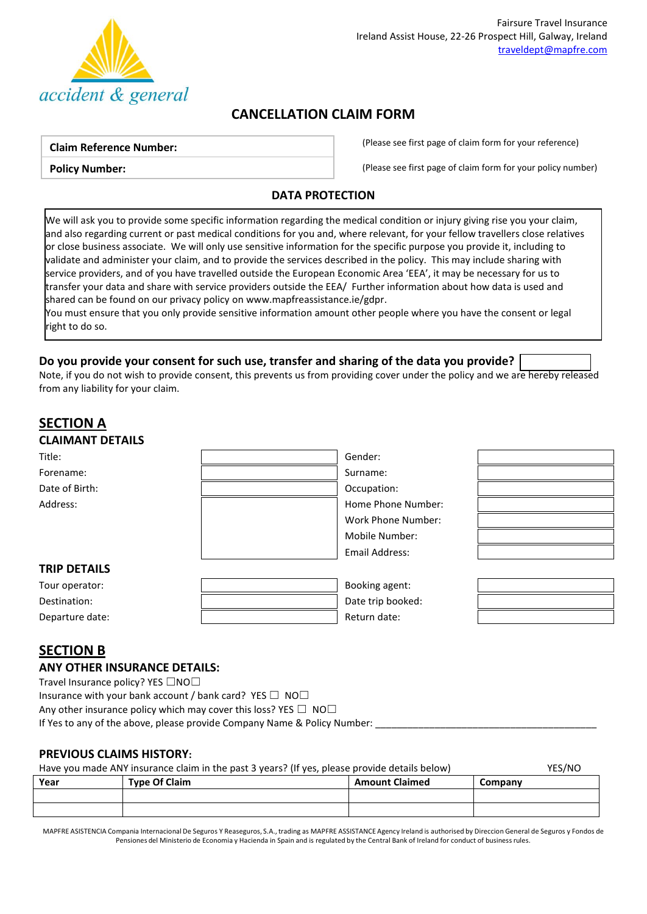

## **CANCELLATION CLAIM FORM**

### **Claim Reference Number:**

**Policy Number:**

(Please see first page of claim form for your reference)

(Please see first page of claim form for your policy number)

### **DATA PROTECTION**

We will ask you to provide some specific information regarding the medical condition or injury giving rise you your claim, and also regarding current or past medical conditions for you and, where relevant, for your fellow travellers close relatives or close business associate. We will only use sensitive information for the specific purpose you provide it, including to validate and administer your claim, and to provide the services described in the policy. This may include sharing with service providers, and of you have travelled outside the European Economic Area 'EEA', it may be necessary for us to transfer your data and share with service providers outside the EEA/ Further information about how data is used and shared can be found on our privacy policy o[n www.mapfreassistance.ie/gdpr.](http://www.mapfreassistance.ie/gdpr)

You must ensure that you only provide sensitive information amount other people where you have the consent or legal right to do so.

## **Do you provide your consent for such use, transfer and sharing of the data you provide?**

Note, if you do not wish to provide consent, this prevents us from providing cover under the policy and we are hereby released from any liability for your claim.

# **SECTION A CLAIMANT DETAILS**

| Title:              | Gender:            |  |
|---------------------|--------------------|--|
| Forename:           | Surname:           |  |
| Date of Birth:      | Occupation:        |  |
| Address:            | Home Phone Number: |  |
|                     | Work Phone Number: |  |
|                     | Mobile Number:     |  |
|                     | Email Address:     |  |
| <b>TRIP DETAILS</b> |                    |  |
| Tour operator:      | Booking agent:     |  |
| Destination:        | Date trip booked:  |  |
| Departure date:     | Return date:       |  |

## **SECTION B**

### **ANY OTHER INSURANCE DETAILS:**

Travel Insurance policy? YES □NO□

Insurance with your bank account / bank card? YES  $\Box$  NO $\Box$ 

Any other insurance policy which may cover this loss? YES  $\Box$  NO $\Box$ 

If Yes to any of the above, please provide Company Name & Policy Number:

## **PREVIOUS CLAIMS HISTORY:**

|      | Have you made ANY insurance claim in the past 3 years? (If yes, please provide details below) |                       | YES/NO  |
|------|-----------------------------------------------------------------------------------------------|-----------------------|---------|
| Year | <b>Type Of Claim</b>                                                                          | <b>Amount Claimed</b> | Company |
|      |                                                                                               |                       |         |

MAPFRE ASISTENCIA Compania Internacional De Seguros Y Reaseguros, S.A., trading as MAPFRE ASSISTANCE Agency Ireland is authorised by Direccion General de Seguros y Fondos de Pensiones del Ministerio de Economia y Hacienda in Spain and is regulated by the Central Bank of Ireland for conduct of business rules.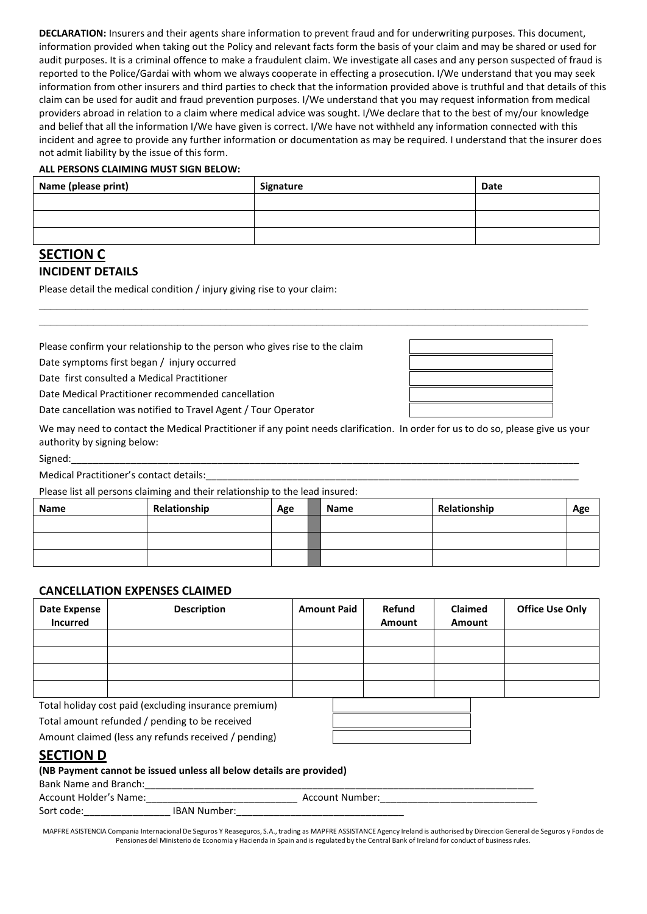**DECLARATION:** Insurers and their agents share information to prevent fraud and for underwriting purposes. This document, information provided when taking out the Policy and relevant facts form the basis of your claim and may be shared or used for audit purposes. It is a criminal offence to make a fraudulent claim. We investigate all cases and any person suspected of fraud is reported to the Police/Gardai with whom we always cooperate in effecting a prosecution. I/We understand that you may seek information from other insurers and third parties to check that the information provided above is truthful and that details of this claim can be used for audit and fraud prevention purposes. I/We understand that you may request information from medical providers abroad in relation to a claim where medical advice was sought. I/We declare that to the best of my/our knowledge and belief that all the information I/We have given is correct. I/We have not withheld any information connected with this incident and agree to provide any further information or documentation as may be required. I understand that the insurer does not admit liability by the issue of this form.

#### **ALL PERSONS CLAIMING MUST SIGN BELOW:**

| Name (please print) | Signature | <b>Date</b> |
|---------------------|-----------|-------------|
|                     |           |             |
|                     |           |             |
|                     |           |             |

**\_\_\_\_\_\_\_\_\_\_\_\_\_\_\_\_\_\_\_\_\_\_\_\_\_\_\_\_\_\_\_\_\_\_\_\_\_\_\_\_\_\_\_\_\_\_\_\_\_\_\_\_\_\_\_\_\_\_\_\_\_\_\_\_\_\_\_\_\_\_\_\_\_\_\_\_\_\_\_\_\_\_\_\_\_\_\_\_\_\_\_ \_\_\_\_\_\_\_\_\_\_\_\_\_\_\_\_\_\_\_\_\_\_\_\_\_\_\_\_\_\_\_\_\_\_\_\_\_\_\_\_\_\_\_\_\_\_\_\_\_\_\_\_\_\_\_\_\_\_\_\_\_\_\_\_\_\_\_\_\_\_\_\_\_\_\_\_\_\_\_\_\_\_\_\_\_\_\_\_\_\_\_**

## **SECTION C INCIDENT DETAILS**

Please detail the medical condition / injury giving rise to your claim:

Please confirm your relationship to the person who gives rise to the claim

Date symptoms first began / injury occurred

Date first consulted a Medical Practitioner

Date Medical Practitioner recommended cancellation

Date cancellation was notified to Travel Agent / Tour Operator

We may need to contact the Medical Practitioner if any point needs clarification. In order for us to do so, please give us your authority by signing below:

Signed:\_\_\_\_\_\_\_\_\_\_\_\_\_\_\_\_\_\_\_\_\_\_\_\_\_\_\_\_\_\_\_\_\_\_\_\_\_\_\_\_\_\_\_\_\_\_\_\_\_\_\_\_\_\_\_\_\_\_\_\_\_\_\_\_\_\_\_\_\_\_\_\_\_\_\_\_\_\_\_\_\_\_\_\_\_\_\_\_\_\_\_\_\_\_

Medical Practitioner's contact details:

Please list all persons claiming and their relationship to the lead insured:

| Name | Relationship | Age | Name | Relationship | Age |
|------|--------------|-----|------|--------------|-----|
|      |              |     |      |              |     |
|      |              |     |      |              |     |
|      |              |     |      |              |     |

### **CANCELLATION EXPENSES CLAIMED**

| <b>Date Expense</b><br><b>Incurred</b> | <b>Description</b> | <b>Amount Paid</b> | Refund<br>Amount | Claimed<br>Amount | <b>Office Use Only</b> |
|----------------------------------------|--------------------|--------------------|------------------|-------------------|------------------------|
|                                        |                    |                    |                  |                   |                        |
|                                        |                    |                    |                  |                   |                        |
|                                        |                    |                    |                  |                   |                        |
|                                        |                    |                    |                  |                   |                        |

Total holiday cost paid (excluding insurance premium)

Total amount refunded / pending to be received

Amount claimed (less any refunds received / pending)

## **SECTION D**

## **(NB Payment cannot be issued unless all below details are provided)**

| <b>Bank Name and Branch:</b> |                     |                 |
|------------------------------|---------------------|-----------------|
| Account Holder's Name:       |                     | Account Number: |
| Sort code:                   | <b>IBAN Number:</b> |                 |

MAPFRE ASISTENCIA Compania Internacional De Seguros Y Reaseguros, S.A., trading as MAPFRE ASSISTANCE Agency Ireland is authorised by Direccion General de Seguros y Fondos de Pensiones del Ministerio de Economia y Hacienda in Spain and is regulated by the Central Bank of Ireland for conduct of business rules.

| ____ |  |
|------|--|
|      |  |